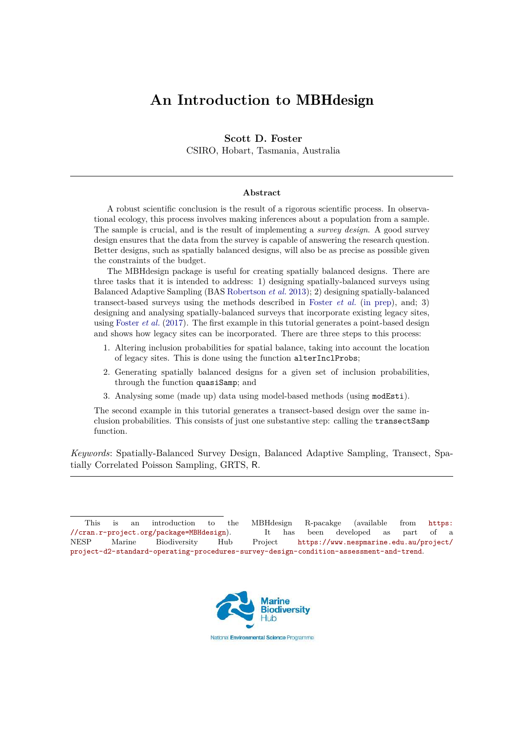# **An Introduction to** MBHdesign

**Scott D. Foster** CSIRO, Hobart, Tasmania, Australia

#### **Abstract**

A robust scientific conclusion is the result of a rigorous scientific process. In observational ecology, this process involves making inferences about a population from a sample. The sample is crucial, and is the result of implementing a *survey design*. A good survey design ensures that the data from the survey is capable of answering the research question. Better designs, such as spatially balanced designs, will also be as precise as possible given the constraints of the budget.

The MBHdesign package is useful for creating spatially balanced designs. There are three tasks that it is intended to address: 1) designing spatially-balanced surveys using Balanced Adaptive Sampling (BAS [Robertson](#page-16-0) *et al.* [2013\)](#page-16-0); 2) designing spatially-balanced transect-based surveys using the methods described in [Foster](#page-16-1) *et al.* [\(in prep\)](#page-16-1), and; 3) designing and analysing spatially-balanced surveys that incorporate existing legacy sites, using [Foster](#page-16-2) *et al.* [\(2017\)](#page-16-2). The first example in this tutorial generates a point-based design and shows how legacy sites can be incorporated. There are three steps to this process:

- 1. Altering inclusion probabilities for spatial balance, taking into account the location of legacy sites. This is done using the function alterInclProbs;
- 2. Generating spatially balanced designs for a given set of inclusion probabilities, through the function quasiSamp; and
- 3. Analysing some (made up) data using model-based methods (using modEsti).

The second example in this tutorial generates a transect-based design over the same inclusion probabilities. This consists of just one substantive step: calling the transectSamp function.

*Keywords*: Spatially-Balanced Survey Design, Balanced Adaptive Sampling, Transect, Spatially Correlated Poisson Sampling, GRTS, R.

This is an introduction to the MBHdesign R-pacakge (available from [https:](https://cran.r-project.org/package=MBHdesign) [//cran.r-project.org/package=MBHdesign](https://cran.r-project.org/package=MBHdesign)). It has been developed as part of a NESP Marine Biodiversity Hub Project [https://www.nespmarine.edu.au/project/](https://www.nespmarine.edu.au/project/project-d2-standard-operating-procedures-survey-design-condition-assessment-and-trend) [project-d2-standard-operating-procedures-survey-design-condition-assessment-and-trend](https://www.nespmarine.edu.au/project/project-d2-standard-operating-procedures-survey-design-condition-assessment-and-trend).



National Environmental Science Programme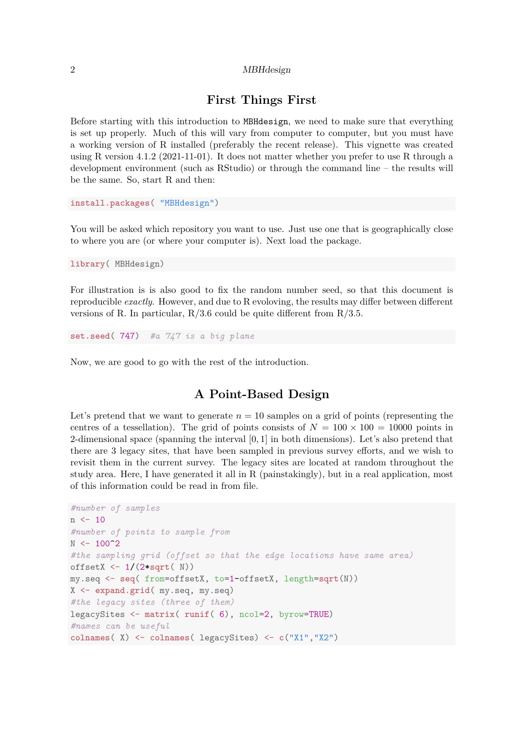|  | $MBH$ design |
|--|--------------|
|--|--------------|

# **First Things First**

Before starting with this introduction to MBHdesign, we need to make sure that everything is set up properly. Much of this will vary from computer to computer, but you must have a working version of R installed (preferably the recent release). This vignette was created using R version 4.1.2 (2021-11-01). It does not matter whether you prefer to use R through a development environment (such as RStudio) or through the command line – the results will be the same. So, start R and then:

**install.packages**( "MBHdesign")

You will be asked which repository you want to use. Just use one that is geographically close to where you are (or where your computer is). Next load the package.

**library**( MBHdesign)

For illustration is is also good to fix the random number seed, so that this document is reproducible *exactly*. However, and due to R evoloving, the results may differ between different versions of R. In particular,  $R/3.6$  could be quite different from  $R/3.5$ .

**set.seed**( 747) *#a 747 is a big plane*

Now, we are good to go with the rest of the introduction.

# **A Point-Based Design**

Let's pretend that we want to generate  $n = 10$  samples on a grid of points (representing the centres of a tessellation). The grid of points consists of  $N = 100 \times 100 = 10000$  points in 2-dimensional space (spanning the interval [0*,* 1] in both dimensions). Let's also pretend that there are 3 legacy sites, that have been sampled in previous survey efforts, and we wish to revisit them in the current survey. The legacy sites are located at random throughout the study area. Here, I have generated it all in R (painstakingly), but in a real application, most of this information could be read in from file.

```
#number of samples
n < - 10#number of points to sample from
N < - 100^2#the sampling grid (offset so that the edge locations have same area)
offsetX <- 1/(2*sqrt( N))
my.seq <- seq( from=offsetX, to=1-offsetX, length=sqrt(N))
X <- expand.grid( my.seq, my.seq)
#the legacy sites (three of them)
legacySites <- matrix( runif( 6), ncol=2, byrow=TRUE)
#names can be useful
colnames( X) <- colnames( legacySites) <- c("X1","X2")
```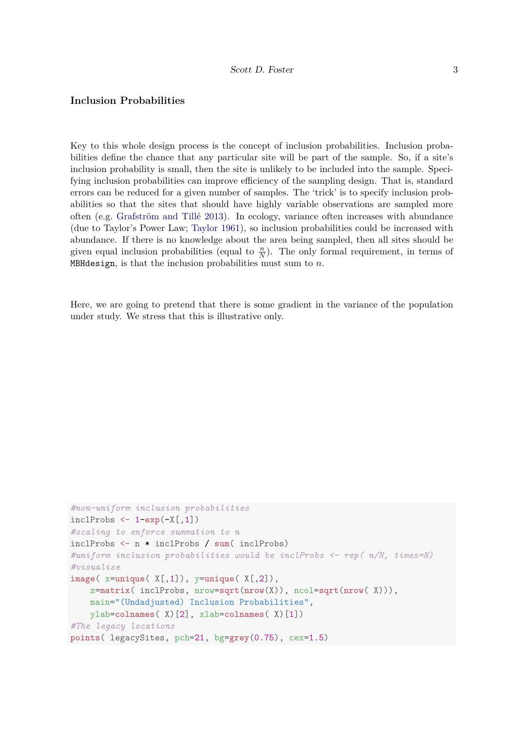### **Inclusion Probabilities**

Key to this whole design process is the concept of inclusion probabilities. Inclusion probabilities define the chance that any particular site will be part of the sample. So, if a site's inclusion probability is small, then the site is unlikely to be included into the sample. Specifying inclusion probabilities can improve efficiency of the sampling design. That is, standard errors can be reduced for a given number of samples. The 'trick' is to specify inclusion probabilities so that the sites that should have highly variable observations are sampled more often (e.g. [Grafström and Tillé 2013\)](#page-16-3). In ecology, variance often increases with abundance (due to Taylor's Power Law; [Taylor 1961\)](#page-16-4), so inclusion probabilities could be increased with abundance. If there is no knowledge about the area being sampled, then all sites should be given equal inclusion probabilities (equal to  $\frac{n}{N}$ ). The only formal requirement, in terms of MBHdesign, is that the inclusion probabilities must sum to *n*.

Here, we are going to pretend that there is some gradient in the variance of the population under study. We stress that this is illustrative only.

```
#non-uniform inclusion probabilities
inclProbs <- 1-exp(-X[,1])
#scaling to enforce summation to n
inclProbs <- n * inclProbs / sum( inclProbs)
#uniform inclusion probabilities would be inclProbs <- rep( n/N, times=N)
#visualise
image( x=unique( X[,1]), y=unique( X[,2]),
   z=matrix( inclProbs, nrow=sqrt(nrow(X)), ncol=sqrt(nrow( X))),
   main="(Undadjusted) Inclusion Probabilities",
   ylab=colnames( X)[2], xlab=colnames( X)[1])
#The legacy locations
points( legacySites, pch=21, bg=grey(0.75), cex=1.5)
```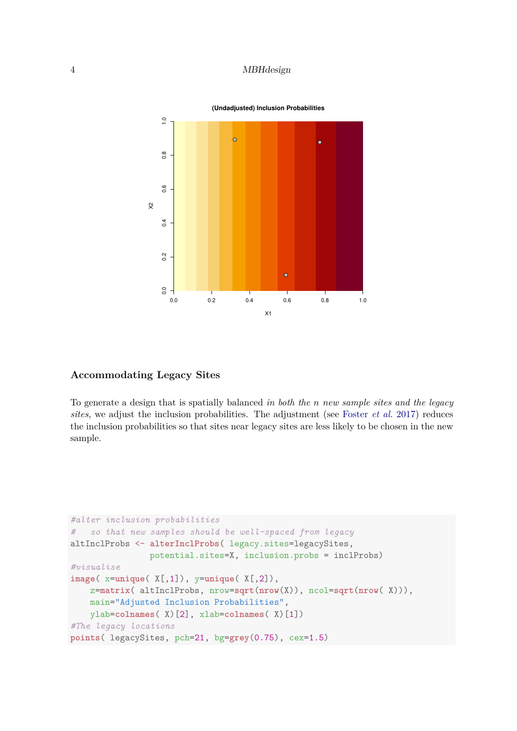

### **Accommodating Legacy Sites**

To generate a design that is spatially balanced *in both the n new sample sites and the legacy sites*, we adjust the inclusion probabilities. The adjustment (see [Foster](#page-16-2) *et al.* [2017\)](#page-16-2) reduces the inclusion probabilities so that sites near legacy sites are less likely to be chosen in the new sample.

```
#alter inclusion probabilities
# so that new samples should be well-spaced from legacy
altInclProbs <- alterInclProbs( legacy.sites=legacySites,
                potential.sites=X, inclusion.probs = inclProbs)
#visualise
image( x=unique( X[,1]), y=unique( X[,2]),
    z=matrix( altInclProbs, nrow=sqrt(nrow(X)), ncol=sqrt(nrow( X))),
    main="Adjusted Inclusion Probabilities",
    ylab=colnames( X)[2], xlab=colnames( X)[1])
#The legacy locations
points( legacySites, pch=21, bg=grey(0.75), cex=1.5)
```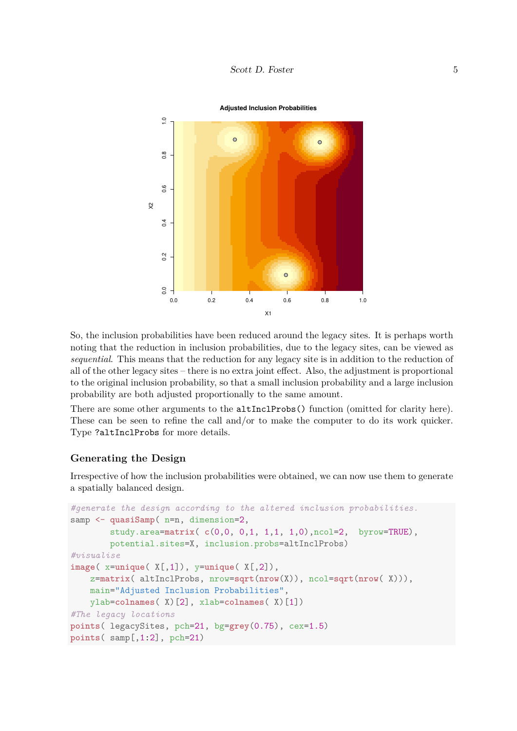

So, the inclusion probabilities have been reduced around the legacy sites. It is perhaps worth noting that the reduction in inclusion probabilities, due to the legacy sites, can be viewed as *sequential*. This means that the reduction for any legacy site is in addition to the reduction of all of the other legacy sites – there is no extra joint effect. Also, the adjustment is proportional to the original inclusion probability, so that a small inclusion probability and a large inclusion probability are both adjusted proportionally to the same amount.

There are some other arguments to the altInclProbs() function (omitted for clarity here). These can be seen to refine the call and/or to make the computer to do its work quicker. Type ?altInclProbs for more details.

#### **Generating the Design**

Irrespective of how the inclusion probabilities were obtained, we can now use them to generate a spatially balanced design.

```
#generate the design according to the altered inclusion probabilities.
samp <- quasiSamp( n=n, dimension=2,
        study.area=matrix( c(0,0, 0,1, 1,1, 1,0),ncol=2, byrow=TRUE),
        potential.sites=X, inclusion.probs=altInclProbs)
#visualise
image( x=unique( X[,1]), y=unique( X[,2]),
    z=matrix( altInclProbs, nrow=sqrt(nrow(X)), ncol=sqrt(nrow( X))),
    main="Adjusted Inclusion Probabilities",
    ylab=colnames( X)[2], xlab=colnames( X)[1])
#The legacy locations
points( legacySites, pch=21, bg=grey(0.75), cex=1.5)
points( samp[,1:2], pch=21)
```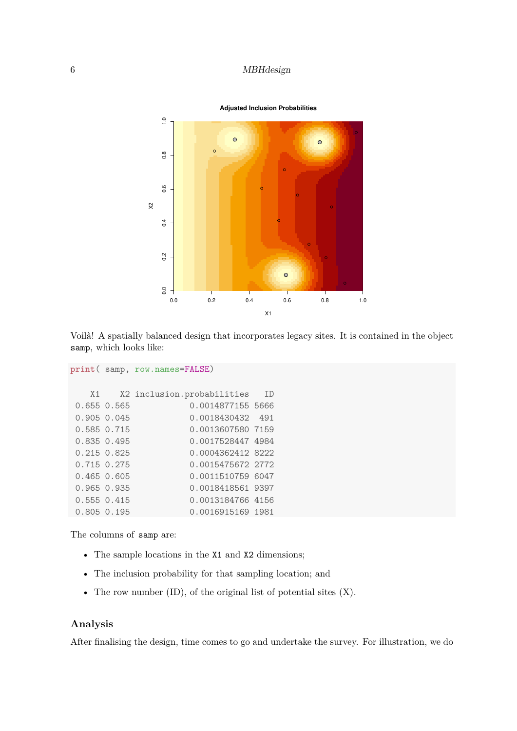

Voilà! A spatially balanced design that incorporates legacy sites. It is contained in the object samp, which looks like:

```
print( samp, row.names=FALSE)
   X1 X2 inclusion.probabilities ID
0.655 0.565 0.0014877155 5666
0.905 0.045 0.0018430432 491
0.585 0.715 0.0013607580 7159
0.835 0.495 0.0017528447 4984
0.215 0.825 0.0004362412 8222
0.715 0.275 0.0015475672 2772
0.465 0.605 0.0011510759 6047
0.965 0.935 0.0018418561 9397
0.555 0.415 0.0013184766 4156
```
0.805 0.195 0.0016915169 1981

The columns of samp are:

- The sample locations in the X1 and X2 dimensions;
- The inclusion probability for that sampling location; and
- The row number  $(ID)$ , of the original list of potential sites  $(X)$ .

### **Analysis**

After finalising the design, time comes to go and undertake the survey. For illustration, we do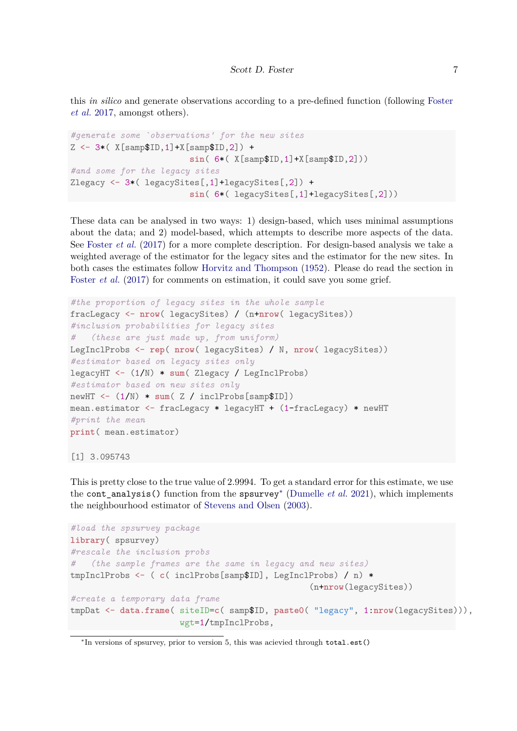this *in silico* and generate observations according to a pre-defined function (following [Foster](#page-16-2) *[et al.](#page-16-2)* [2017,](#page-16-2) amongst others).

```
#generate some `observations' for the new sites
Z <- 3*( X[samp$ID,1]+X[samp$ID,2]) +
                        sin( 6*( X[samp$ID,1]+X[samp$ID,2]))
#and some for the legacy sites
Zlegacy <- 3*( legacySites[,1]+legacySites[,2]) +
                        sin( 6*( legacySites[,1]+legacySites[,2]))
```
These data can be analysed in two ways: 1) design-based, which uses minimal assumptions about the data; and 2) model-based, which attempts to describe more aspects of the data. See [Foster](#page-16-2) *et al.* [\(2017\)](#page-16-2) for a more complete description. For design-based analysis we take a weighted average of the estimator for the legacy sites and the estimator for the new sites. In both cases the estimates follow [Horvitz and Thompson](#page-16-5) [\(1952\)](#page-16-5). Please do read the section in [Foster](#page-16-2) *et al.* [\(2017\)](#page-16-2) for comments on estimation, it could save you some grief.

```
#the proportion of legacy sites in the whole sample
fracLegacy <- nrow( legacySites) / (n+nrow( legacySites))
#inclusion probabilities for legacy sites
# (these are just made up, from uniform)
LegInclProbs <- rep( nrow( legacySites) / N, nrow( legacySites))
#estimator based on legacy sites only
legacyHT <- (1/N) * sum( Zlegacy / LegInclProbs)
#estimator based on new sites only
newHT <- (1/N) * sum( Z / inclProbs[samp$ID])
mean.estimator <- fracLegacy * legacyHT + (1-fracLegacy) * newHT
#print the mean
print( mean.estimator)
```

```
[1] 3.095743
```
This is pretty close to the true value of 2*.*9994. To get a standard error for this estimate, we use the cont\_analysis() function from the spsurvey[∗](#page-6-0) [\(Dumelle](#page-16-6) *et al.* [2021\)](#page-16-6), which implements the neighbourhood estimator of [Stevens and Olsen](#page-16-7) [\(2003\)](#page-16-7).

```
#load the spsurvey package
library( spsurvey)
#rescale the inclusion probs
# (the sample frames are the same in legacy and new sites)
tmpInclProbs <- ( c( inclProbs[samp$ID], LegInclProbs) / n) *
                                                (n+nrow(legacySites))
#create a temporary data frame
tmpDat <- data.frame( siteID=c( samp$ID, paste0( "legacy", 1:nrow(legacySites))),
                      wgt=1/tmpInclProbs,
```
<span id="page-6-0"></span><sup>∗</sup> In versions of spsurvey, prior to version 5, this was acievied through total.est()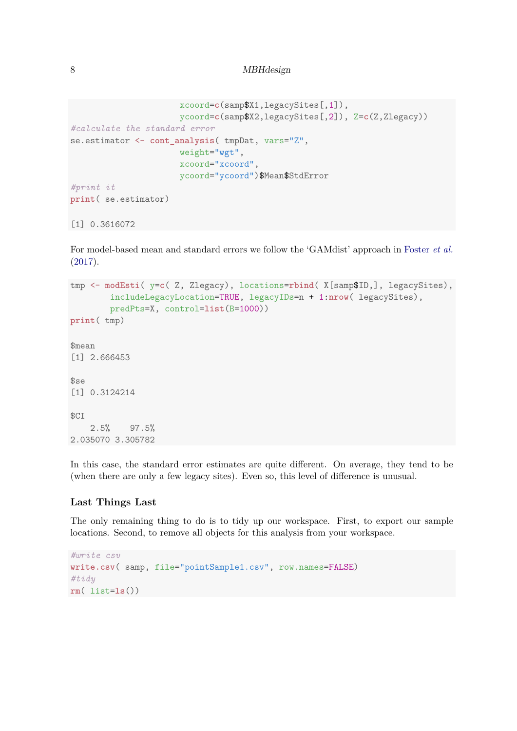```
xcoord=c(samp$X1,legacySites[,1]),
                      ycoord=c(samp$X2,legacySites[,2]), Z=c(Z,Zlegacy))
#calculate the standard error
se.estimator <- cont_analysis( tmpDat, vars="Z",
                      weight="wgt",
                      xcoord="xcoord",
                      ycoord="ycoord")$Mean$StdError
#print it
print( se.estimator)
[1] 0.3616072
```
For model-based mean and standard errors we follow the 'GAMdist' approach in [Foster](#page-16-2) *et al.* [\(2017\)](#page-16-2).

```
tmp <- modEsti( y=c( Z, Zlegacy), locations=rbind( X[samp$ID,], legacySites),
        includeLegacyLocation=TRUE, legacyIDs=n + 1:nrow( legacySites),
        predPts=X, control=list(B=1000))
print( tmp)
$mean
[1] 2.666453
$se
[1] 0.3124214
$CI
    2.5% 97.5%
2.035070 3.305782
```
In this case, the standard error estimates are quite different. On average, they tend to be (when there are only a few legacy sites). Even so, this level of difference is unusual.

#### **Last Things Last**

The only remaining thing to do is to tidy up our workspace. First, to export our sample locations. Second, to remove all objects for this analysis from your workspace.

```
#write csv
write.csv( samp, file="pointSample1.csv", row.names=FALSE)
#tidy
rm( list=ls())
```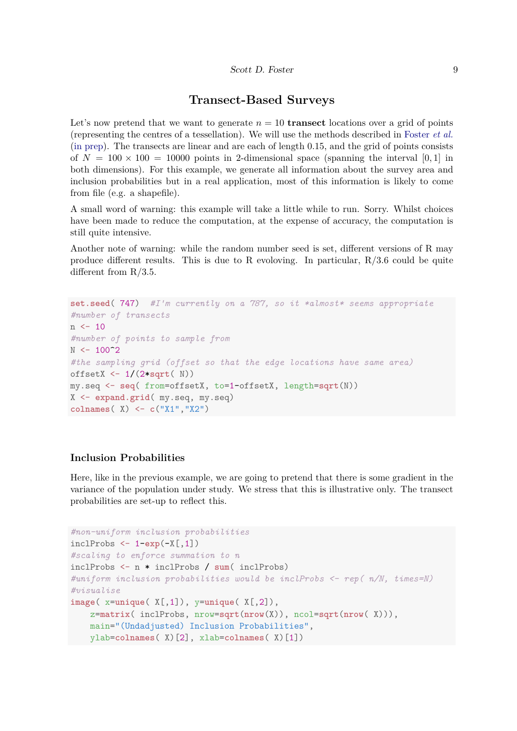### **Transect-Based Surveys**

Let's now pretend that we want to generate  $n = 10$  **transect** locations over a grid of points (representing the centres of a tessellation). We will use the methods described in [Foster](#page-16-1) *et al.* [\(in prep\)](#page-16-1). The transects are linear and are each of length 0.15, and the grid of points consists of  $N = 100 \times 100 = 10000$  points in 2-dimensional space (spanning the interval [0, 1] in both dimensions). For this example, we generate all information about the survey area and inclusion probabilities but in a real application, most of this information is likely to come from file (e.g. a shapefile).

A small word of warning: this example will take a little while to run. Sorry. Whilst choices have been made to reduce the computation, at the expense of accuracy, the computation is still quite intensive.

Another note of warning: while the random number seed is set, different versions of R may produce different results. This is due to R evoloving. In particular, R/3.6 could be quite different from R/3.5.

```
set.seed( 747) #I'm currently on a 787, so it *almost* seems appropriate
#number of transects
n < - 10#number of points to sample from
N < - 100^{\circ}2#the sampling grid (offset so that the edge locations have same area)
offsetX <- 1/(2*sqrt( N))
my.seq <- seq( from=offsetX, to=1-offsetX, length=sqrt(N))
X <- expand.grid( my.seq, my.seq)
colnames( X) <- c("X1","X2")
```
#### **Inclusion Probabilities**

Here, like in the previous example, we are going to pretend that there is some gradient in the variance of the population under study. We stress that this is illustrative only. The transect probabilities are set-up to reflect this.

```
#non-uniform inclusion probabilities
inclProbs <- 1-exp(-X[,1])
#scaling to enforce summation to n
inclProbs <- n * inclProbs / sum( inclProbs)
#uniform inclusion probabilities would be inclProbs <- rep( n/N, times=N)
#visualise
image( x=unique( X[,1]), y=unique( X[,2]),
   z=matrix( inclProbs, nrow=sqrt(nrow(X)), ncol=sqrt(nrow( X))),
   main="(Undadjusted) Inclusion Probabilities",
   ylab=colnames( X)[2], xlab=colnames( X)[1])
```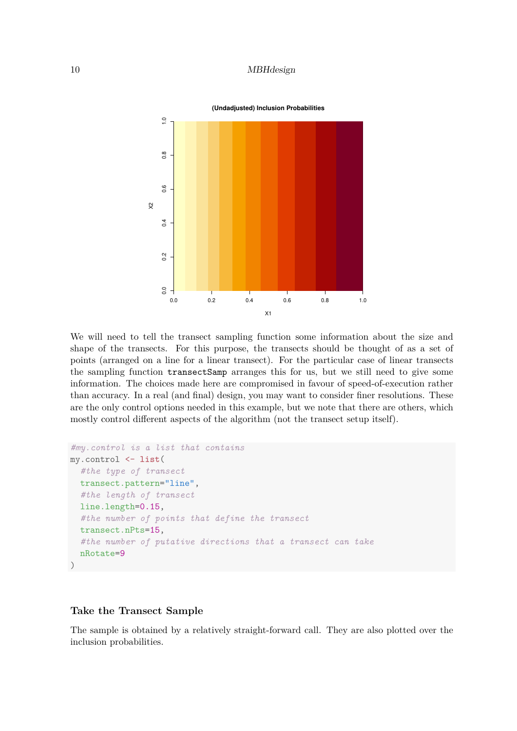

We will need to tell the transect sampling function some information about the size and shape of the transects. For this purpose, the transects should be thought of as a set of points (arranged on a line for a linear transect). For the particular case of linear transects the sampling function transectSamp arranges this for us, but we still need to give some information. The choices made here are compromised in favour of speed-of-execution rather than accuracy. In a real (and final) design, you may want to consider finer resolutions. These are the only control options needed in this example, but we note that there are others, which mostly control different aspects of the algorithm (not the transect setup itself).

```
#my.control is a list that contains
my.control <- list(
  #the type of transect
  transect.pattern="line",
  #the length of transect
  line.length=0.15,
  #the number of points that define the transect
  transect.nPts=15,
  #the number of putative directions that a transect can take
  nRotate=9
)
```
#### **Take the Transect Sample**

The sample is obtained by a relatively straight-forward call. They are also plotted over the inclusion probabilities.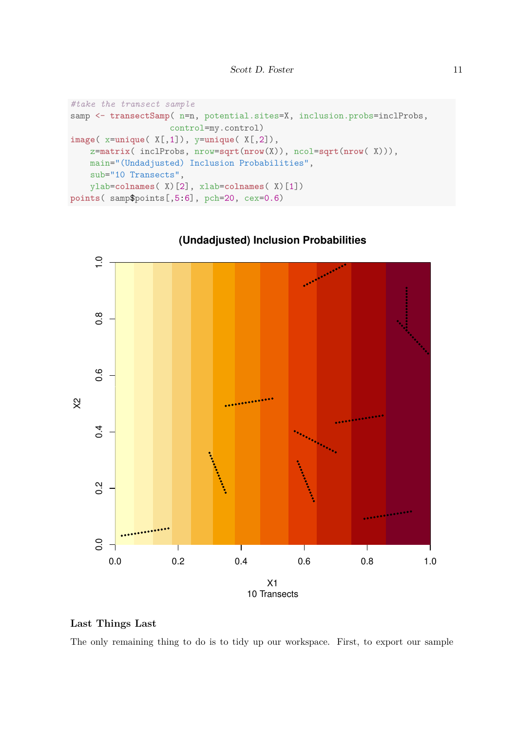```
#take the transect sample
samp <- transectSamp( n=n, potential.sites=X, inclusion.probs=inclProbs,
                    control=my.control)
image( x=unique( X[,1]), y=unique( X[,2]),
    z=matrix( inclProbs, nrow=sqrt(nrow(X)), ncol=sqrt(nrow( X))),
   main="(Undadjusted) Inclusion Probabilities",
    sub="10 Transects",
    ylab=colnames( X)[2], xlab=colnames( X)[1])
points( samp$points[,5:6], pch=20, cex=0.6)
```


**(Undadjusted) Inclusion Probabilities**

### **Last Things Last**

The only remaining thing to do is to tidy up our workspace. First, to export our sample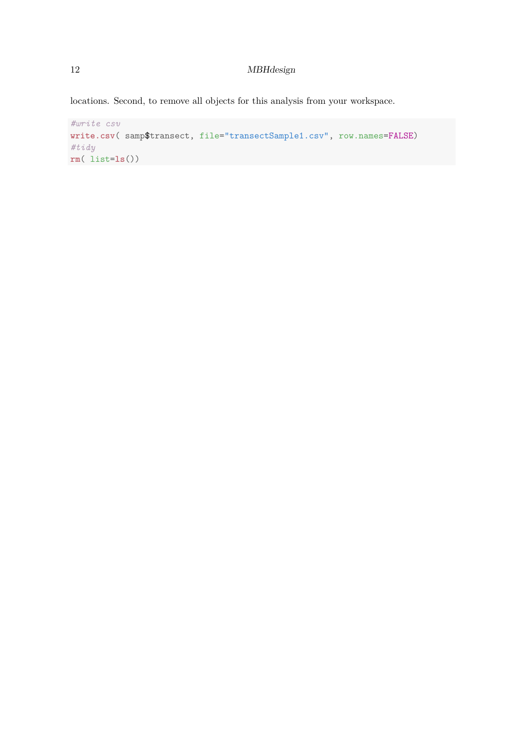locations. Second, to remove all objects for this analysis from your workspace.

```
#write csv
write.csv( samp$transect, file="transectSample1.csv", row.names=FALSE)
#tidy
rm( list=ls())
```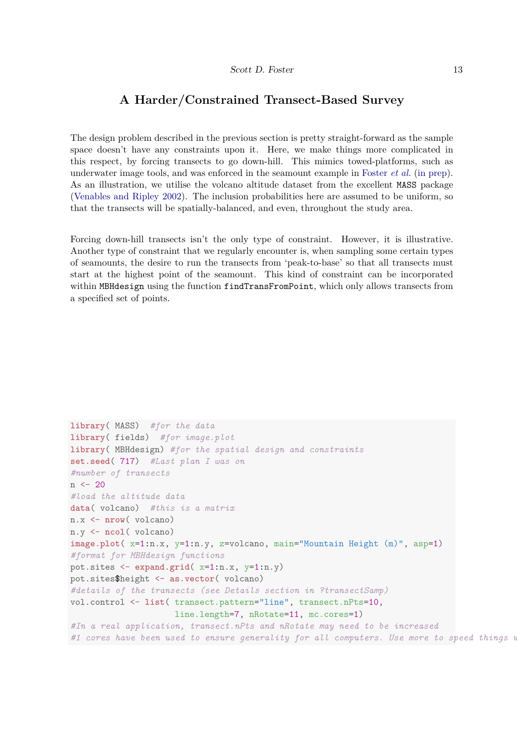# **A Harder/Constrained Transect-Based Survey**

The design problem described in the previous section is pretty straight-forward as the sample space doesn't have any constraints upon it. Here, we make things more complicated in this respect, by forcing transects to go down-hill. This mimics towed-platforms, such as underwater image tools, and was enforced in the seamount example in [Foster](#page-16-1) *et al.* [\(in prep\)](#page-16-1). As an illustration, we utilise the volcano altitude dataset from the excellent MASS package [\(Venables and Ripley 2002\)](#page-16-8). The inclusion probabilities here are assumed to be uniform, so that the transects will be spatially-balanced, and even, throughout the study area.

Forcing down-hill transects isn't the only type of constraint. However, it is illustrative. Another type of constraint that we regularly encounter is, when sampling some certain types of seamounts, the desire to run the transects from 'peak-to-base' so that all transects must start at the highest point of the seamount. This kind of constraint can be incorporated within MBHdesign using the function findTransFromPoint, which only allows transects from a specified set of points.

```
library( MASS) #for the data
library( fields) #for image.plot
library( MBHdesign) #for the spatial design and constraints
set.seed( 717) #Last plan I was on
#number of transects
n \le -20#load the altitude data
data( volcano) #this is a matrix
n.x <- nrow( volcano)
n.y <- ncol( volcano)
image.plot( x=1:n.x, y=1:n.y, z=volcano, main="Mountain Height (m)", asp=1)
#format for MBHdesign functions
pot.sites <- expand.grid( x=1:n.x, y=1:n.y)
pot.sites$height <- as.vector( volcano)
#details of the transects (see Details section in ?transectSamp)
vol.control <- list( transect.pattern="line", transect.nPts=10,
                     line.length=7, nRotate=11, mc.cores=1)
#In a real application, transect.nPts and nRotate may need to be increased
#1 cores have been used to ensure generality for all computers. Use more to speed things up
```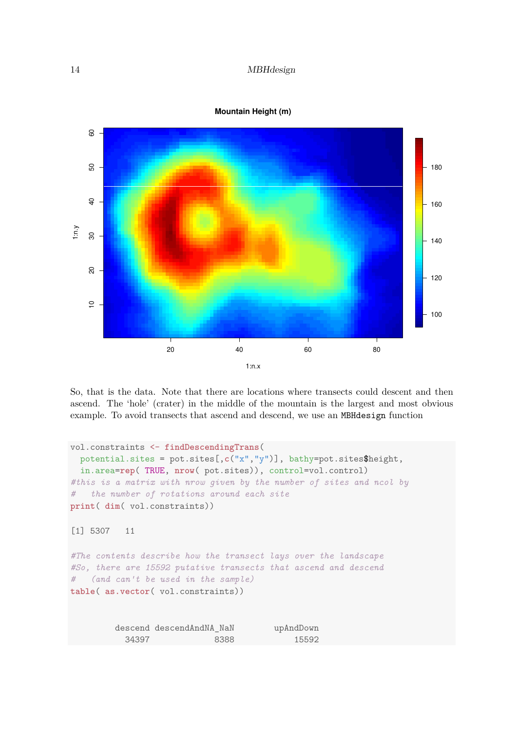



So, that is the data. Note that there are locations where transects could descent and then ascend. The 'hole' (crater) in the middle of the mountain is the largest and most obvious example. To avoid transects that ascend and descend, we use an MBHdesign function

```
vol.constraints <- findDescendingTrans(
 potential.sites = pot.sites[,c("x","y")], bathy=pot.sites$height,
 in.area=rep( TRUE, nrow( pot.sites)), control=vol.control)
#this is a matrix with nrow given by the number of sites and ncol by
# the number of rotations around each site
print( dim( vol.constraints))
[1] 5307 11
#The contents describe how the transect lays over the landscape
#So, there are 15592 putative transects that ascend and descend
# (and can't be used in the sample)
table( as.vector( vol.constraints))
        descend descendAndNA_NaN upAndDown
          34397 8388 15592
```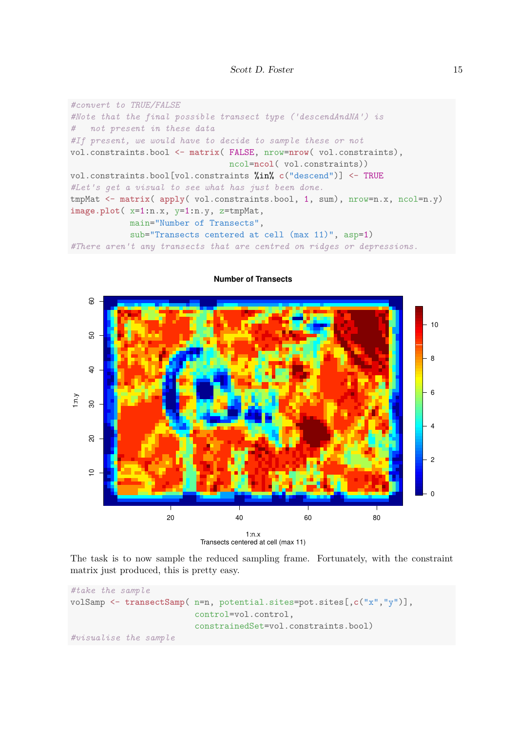```
#convert to TRUE/FALSE
#Note that the final possible transect type ('descendAndNA') is
# not present in these data
#If present, we would have to decide to sample these or not
vol.constraints.bool <- matrix( FALSE, nrow=nrow( vol.constraints),
                                ncol=ncol( vol.constraints))
vol.constraints.bool[vol.constraints %in% c("descend")] <- TRUE
#Let's get a visual to see what has just been done.
tmpMat <- matrix( apply( vol.constraints.bool, 1, sum), nrow=n.x, ncol=n.y)
image.plot( x=1:n.x, y=1:n.y, z=tmpMat,
           main="Number of Transects",
            sub="Transects centered at cell (max 11)", asp=1)
#There aren't any transects that are centred on ridges or depressions.
```


#### **Number of Transects**

The task is to now sample the reduced sampling frame. Fortunately, with the constraint matrix just produced, this is pretty easy.

```
#take the sample
volSamp <- transectSamp( n=n, potential.sites=pot.sites[,c("x","y")],
                         control=vol.control,
                         constrainedSet=vol.constraints.bool)
#visualise the sample
```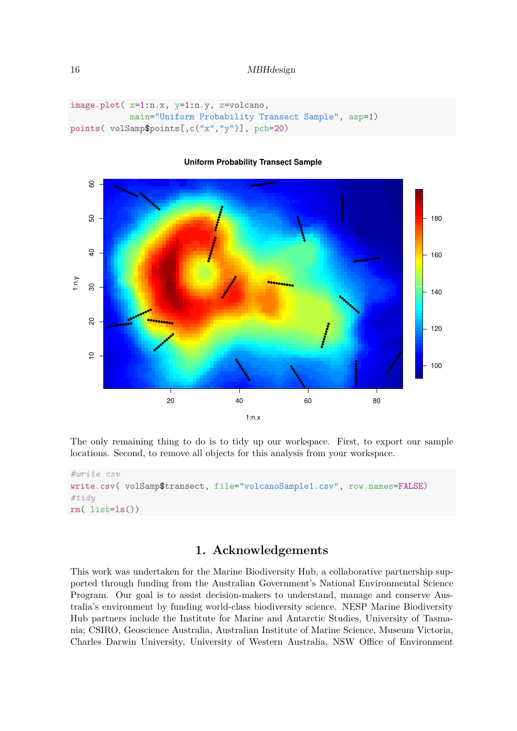```
image.plot( x=1:n.x, y=1:n.y, z=volcano,
            main="Uniform Probability Transect Sample", asp=1)
points( volSamp$points[,c("x","y")], pch=20)
```


#### **Uniform Probability Transect Sample**

The only remaining thing to do is to tidy up our workspace. First, to export our sample locations. Second, to remove all objects for this analysis from your workspace.

```
#write csv
write.csv( volSamp$transect, file="volcanoSample1.csv", row.names=FALSE)
#tidy
rm( list=ls())
```
# **1. Acknowledgements**

This work was undertaken for the Marine Biodiversity Hub, a collaborative partnership supported through funding from the Australian Government's National Environmental Science Program. Our goal is to assist decision-makers to understand, manage and conserve Australia's environment by funding world-class biodiversity science. NESP Marine Biodiversity Hub partners include the Institute for Marine and Antarctic Studies, University of Tasmania; CSIRO, Geoscience Australia, Australian Institute of Marine Science, Museum Victoria, Charles Darwin University, University of Western Australia, NSW Office of Environment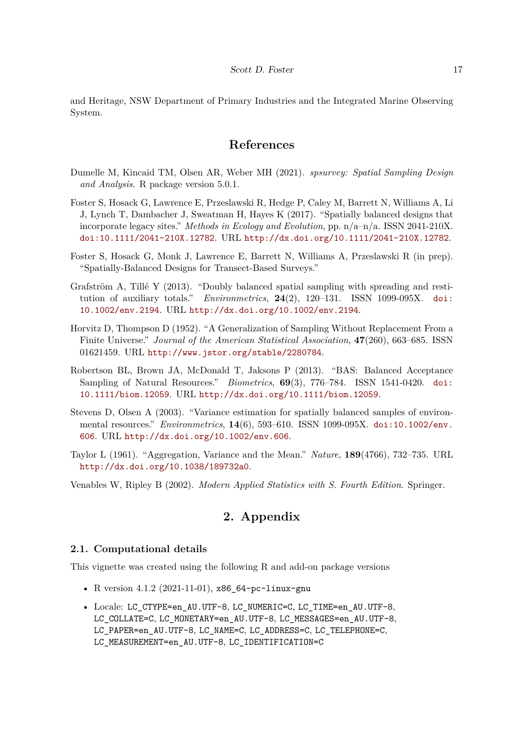and Heritage, NSW Department of Primary Industries and the Integrated Marine Observing System.

### **References**

- <span id="page-16-6"></span>Dumelle M, Kincaid TM, Olsen AR, Weber MH (2021). *spsurvey: Spatial Sampling Design and Analysis*. R package version 5.0.1.
- <span id="page-16-2"></span>Foster S, Hosack G, Lawrence E, Przeslawski R, Hedge P, Caley M, Barrett N, Williams A, Li J, Lynch T, Dambacher J, Sweatman H, Hayes K (2017). "Spatially balanced designs that incorporate legacy sites." *Methods in Ecology and Evolution*, pp.  $n/a-n/a$ . ISSN 2041-210X. [doi:10.1111/2041-210X.12782](https://doi.org/10.1111/2041-210X.12782). URL <http://dx.doi.org/10.1111/2041-210X.12782>.
- <span id="page-16-1"></span>Foster S, Hosack G, Monk J, Lawrence E, Barrett N, Williams A, Przeslawski R (in prep). "Spatially-Balanced Designs for Transect-Based Surveys."
- <span id="page-16-3"></span>Grafström A, Tillé Y (2013). "Doubly balanced spatial sampling with spreading and restitution of auxiliary totals." *Environmetrics*, **24**(2), 120–131. ISSN 1099-095X. [doi:](https://doi.org/10.1002/env.2194) [10.1002/env.2194](https://doi.org/10.1002/env.2194). URL <http://dx.doi.org/10.1002/env.2194>.
- <span id="page-16-5"></span>Horvitz D, Thompson D (1952). "A Generalization of Sampling Without Replacement From a Finite Universe." *Journal of the American Statistical Association*, **47**(260), 663–685. ISSN 01621459. URL <http://www.jstor.org/stable/2280784>.
- <span id="page-16-0"></span>Robertson BL, Brown JA, McDonald T, Jaksons P (2013). "BAS: Balanced Acceptance Sampling of Natural Resources." *Biometrics*, **69**(3), 776–784. ISSN 1541-0420. [doi:](https://doi.org/10.1111/biom.12059) [10.1111/biom.12059](https://doi.org/10.1111/biom.12059). URL <http://dx.doi.org/10.1111/biom.12059>.
- <span id="page-16-7"></span>Stevens D, Olsen A (2003). "Variance estimation for spatially balanced samples of environmental resources." *Environmetrics*, **14**(6), 593–610. ISSN 1099-095X. [doi:10.1002/env.](https://doi.org/10.1002/env.606) [606](https://doi.org/10.1002/env.606). URL <http://dx.doi.org/10.1002/env.606>.
- <span id="page-16-4"></span>Taylor L (1961). "Aggregation, Variance and the Mean." *Nature*, **189**(4766), 732–735. URL <http://dx.doi.org/10.1038/189732a0>.
- <span id="page-16-8"></span>Venables W, Ripley B (2002). *Modern Applied Statistics with S. Fourth Edition*. Springer.

# **2. Appendix**

#### **2.1. Computational details**

This vignette was created using the following R and add-on package versions

- R version 4.1.2 (2021-11-01), x86\_64-pc-linux-gnu
- Locale: LC\_CTYPE=en\_AU.UTF-8, LC\_NUMERIC=C, LC\_TIME=en\_AU.UTF-8, LC\_COLLATE=C, LC\_MONETARY=en\_AU.UTF-8, LC\_MESSAGES=en\_AU.UTF-8, LC\_PAPER=en\_AU.UTF-8, LC\_NAME=C, LC\_ADDRESS=C, LC\_TELEPHONE=C, LC\_MEASUREMENT=en\_AU.UTF-8, LC\_IDENTIFICATION=C